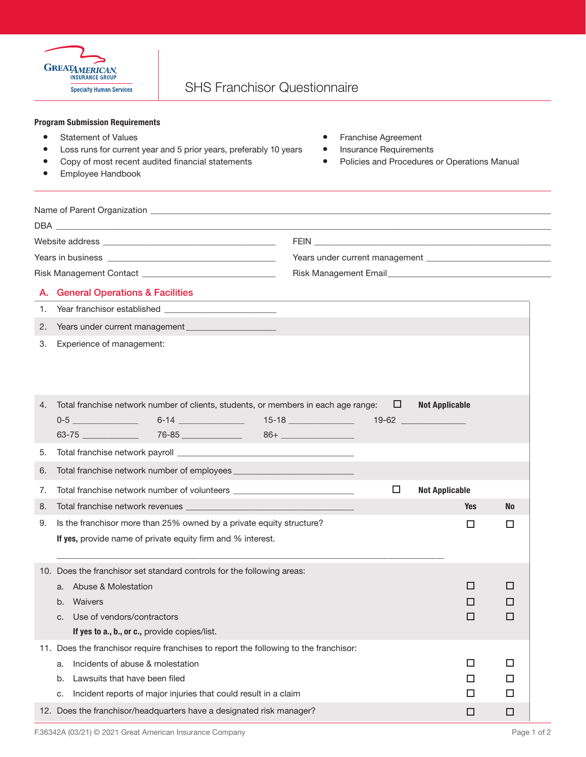

## Program Submission Requirements

- 
- Loss runs for current year and 5 prior years, preferably 10 years Insurance Requirements
- Copy of most recent audited financial statements Policies and Procedures or Operations Manual
- **•** Employee Handbook
- **•** Statement of Values **and Statement of Values and Statement and Statement and Statement and Statement and Statement** 
	-
	-

| <b>DBA</b>                                                                                                                                                                                                                     |                                           |  |  |  |  |
|--------------------------------------------------------------------------------------------------------------------------------------------------------------------------------------------------------------------------------|-------------------------------------------|--|--|--|--|
| Website address and the control of the control of the control of the control of the control of the control of the control of the control of the control of the control of the control of the control of the control of the con |                                           |  |  |  |  |
|                                                                                                                                                                                                                                |                                           |  |  |  |  |
| Risk Management Contact _                                                                                                                                                                                                      | Risk Management Email <b>Example 2018</b> |  |  |  |  |

## A. General Operations & Facilities

1. Year franchisor established

2. Years under current management

3. Experience of management:

| 4.  | Total franchise network number of clients, students, or members in each age range: $\square$ |                                                                                  |   | <b>Not Applicable</b> |           |
|-----|----------------------------------------------------------------------------------------------|----------------------------------------------------------------------------------|---|-----------------------|-----------|
|     | $0-5$ and $0-5$ and $0-5$                                                                    | 6-14 _________________  15-18 _________________  19-62 _________________________ |   |                       |           |
|     |                                                                                              |                                                                                  |   |                       |           |
| 5.  |                                                                                              |                                                                                  |   |                       |           |
| 6.  | Total franchise network number of employees ____________                                     |                                                                                  |   |                       |           |
| 7.  | Total franchise network number of volunteers                                                 |                                                                                  | □ | <b>Not Applicable</b> |           |
| 8.  |                                                                                              |                                                                                  |   | <b>Yes</b>            | <b>No</b> |
| 9.  | Is the franchisor more than 25% owned by a private equity structure?                         |                                                                                  |   | □                     | П         |
|     | If yes, provide name of private equity firm and % interest.                                  |                                                                                  |   |                       |           |
|     |                                                                                              |                                                                                  |   |                       |           |
| 10. | Does the franchisor set standard controls for the following areas:                           |                                                                                  |   |                       |           |
|     | Abuse & Molestation<br>a.                                                                    |                                                                                  |   | п                     | П         |
|     | Waivers<br>b <sub>1</sub>                                                                    |                                                                                  |   | п                     | ΙI        |
|     |                                                                                              |                                                                                  |   |                       |           |
|     | Use of vendors/contractors<br>$C_{\cdot}$                                                    |                                                                                  |   | □                     | П         |
|     | If yes to a., b., or c., provide copies/list.                                                |                                                                                  |   |                       |           |
| 11. | Does the franchisor require franchises to report the following to the franchisor:            |                                                                                  |   |                       |           |
|     | Incidents of abuse & molestation<br>a.                                                       |                                                                                  |   | П                     | П         |
|     | Lawsuits that have been filed<br>b.                                                          |                                                                                  |   | П                     | H         |
|     | Incident reports of major injuries that could result in a claim<br>C.                        |                                                                                  |   | H                     | H         |